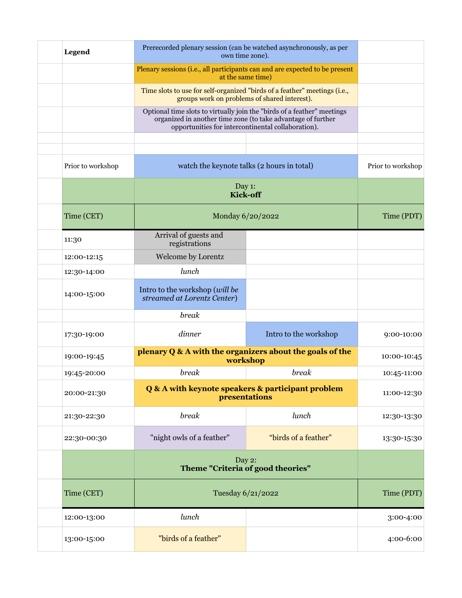| <b>Legend</b>     | Prerecorded plenary session (can be watched asynchronously, as per<br>own time zone).                                                                                                         |                       |                   |
|-------------------|-----------------------------------------------------------------------------------------------------------------------------------------------------------------------------------------------|-----------------------|-------------------|
|                   | Plenary sessions (i.e., all participants can and are expected to be present<br>at the same time)                                                                                              |                       |                   |
|                   | Time slots to use for self-organized "birds of a feather" meetings (i.e.,<br>groups work on problems of shared interest).                                                                     |                       |                   |
|                   | Optional time slots to virtually join the "birds of a feather" meetings<br>organized in another time zone (to take advantage of further<br>opportunities for intercontinental collaboration). |                       |                   |
|                   |                                                                                                                                                                                               |                       |                   |
| Prior to workshop | watch the keynote talks (2 hours in total)                                                                                                                                                    |                       | Prior to workshop |
|                   | Day 1:<br>Kick-off                                                                                                                                                                            |                       |                   |
| Time (CET)        | Monday 6/20/2022                                                                                                                                                                              |                       | Time (PDT)        |
| 11:30             | Arrival of guests and<br>registrations                                                                                                                                                        |                       |                   |
| 12:00-12:15       | Welcome by Lorentz                                                                                                                                                                            |                       |                   |
| 12:30-14:00       | lunch                                                                                                                                                                                         |                       |                   |
| 14:00-15:00       | Intro to the workshop (will be<br>streamed at Lorentz Center)                                                                                                                                 |                       |                   |
|                   | break                                                                                                                                                                                         |                       |                   |
| 17:30-19:00       | dinner                                                                                                                                                                                        | Intro to the workshop | 9:00-10:00        |
| 19:00-19:45       | plenary Q & A with the organizers about the goals of the<br>workshop                                                                                                                          |                       | 10:00-10:45       |
| 19:45-20:00       | break                                                                                                                                                                                         | break                 | 10:45-11:00       |
| 20:00-21:30       | Q & A with keynote speakers & participant problem<br>presentations                                                                                                                            |                       | 11:00-12:30       |
| 21:30-22:30       | <b>break</b>                                                                                                                                                                                  | lunch                 | 12:30-13:30       |
| 22:30-00:30       | "night owls of a feather"                                                                                                                                                                     | "birds of a feather"  | 13:30-15:30       |
|                   | Day 2:<br>Theme "Criteria of good theories"                                                                                                                                                   |                       |                   |
| Time (CET)        | Tuesday 6/21/2022                                                                                                                                                                             |                       | Time (PDT)        |
| 12:00-13:00       | lunch                                                                                                                                                                                         |                       | 3:00-4:00         |
| 13:00-15:00       | "birds of a feather"                                                                                                                                                                          |                       | 4:00-6:00         |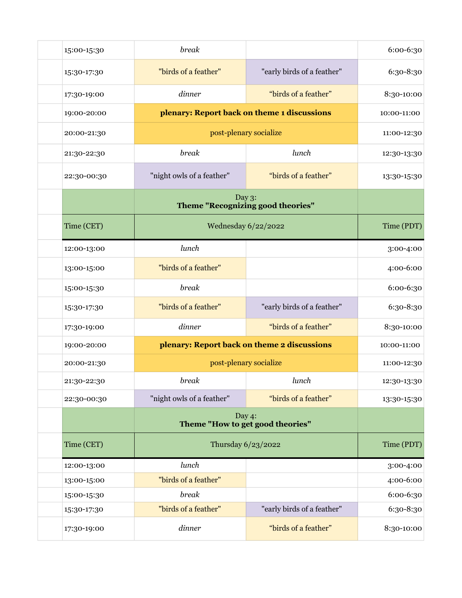| 15:00-15:30 | break                                       |                            | 6:00-6:30   |
|-------------|---------------------------------------------|----------------------------|-------------|
| 15:30-17:30 | "birds of a feather"                        | "early birds of a feather" | 6:30-8:30   |
| 17:30-19:00 | dinner                                      | "birds of a feather"       | 8:30-10:00  |
| 19:00-20:00 | plenary: Report back on theme 1 discussions |                            | 10:00-11:00 |
| 20:00-21:30 | post-plenary socialize                      |                            | 11:00-12:30 |
| 21:30-22:30 | break                                       | lunch                      | 12:30-13:30 |
| 22:30-00:30 | "night owls of a feather"                   | "birds of a feather"       | 13:30-15:30 |
|             | Day 3:<br>Theme "Recognizing good theories" |                            |             |
| Time (CET)  | Wednesday 6/22/2022                         |                            | Time (PDT)  |
| 12:00-13:00 | lunch                                       |                            | 3:00-4:00   |
| 13:00-15:00 | "birds of a feather"                        |                            | 4:00-6:00   |
| 15:00-15:30 | break                                       |                            | 6:00-6:30   |
| 15:30-17:30 | "birds of a feather"                        | "early birds of a feather" | 6:30-8:30   |
| 17:30-19:00 | dinner                                      | "birds of a feather"       | 8:30-10:00  |
| 19:00-20:00 | plenary: Report back on theme 2 discussions |                            | 10:00-11:00 |
| 20:00-21:30 | post-plenary socialize                      |                            | 11:00-12:30 |
| 21:30-22:30 | break                                       | lunch                      | 12:30-13:30 |
| 22:30-00:30 | "night owls of a feather"                   | "birds of a feather"       | 13:30-15:30 |
|             | Day 4:<br>Theme "How to get good theories"  |                            |             |
| Time (CET)  | Thursday 6/23/2022                          |                            | Time (PDT)  |
| 12:00-13:00 | lunch                                       |                            | 3:00-4:00   |
| 13:00-15:00 | "birds of a feather"                        |                            | 4:00-6:00   |
| 15:00-15:30 | break                                       |                            | 6:00-6:30   |
| 15:30-17:30 | "birds of a feather"                        | "early birds of a feather" | 6:30-8:30   |
| 17:30-19:00 | dinner                                      | "birds of a feather"       | 8:30-10:00  |